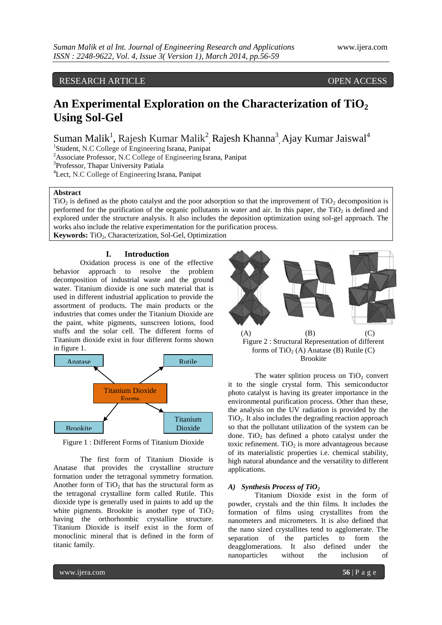RESEARCH ARTICLE OPEN ACCESS

# **An Experimental Exploration on the Characterization of TiO<sup>2</sup> Using Sol-Gel**

Suman Malik<sup>1</sup>, Rajesh Kumar Malik<sup>2</sup>, Rajesh Khanna<sup>3</sup>, Ajay Kumar Jaiswal<sup>4</sup>

<sup>1</sup>Student, N.C College of Engineering Israna, Panipat

<sup>2</sup>Associate Professor, N.C College of Engineering Israna, Panipat

<sup>3</sup>Professor, Thapar University Patiala

<sup>4</sup>Lect, N.C College of Engineering Israna, Panipat

# **Abstract**

 $TiO<sub>2</sub>$  is defined as the photo catalyst and the poor adsorption so that the improvement of  $TiO<sub>2</sub>$  decomposition is performed for the purification of the organic pollutants in water and air. In this paper, the  $TiO<sub>2</sub>$  is defined and explored under the structure analysis. It also includes the deposition optimization using sol-gel approach. The works also include the relative experimentation for the purification process.

Keywords: TiO<sub>2</sub>, Characterization, Sol-Gel, Optimization

#### **I. Introduction**

Oxidation process is one of the effective behavior approach to resolve the problem decomposition of industrial waste and the ground water. Titanium dioxide is one such material that is used in different industrial application to provide the assortment of products. The main products or the industries that comes under the Titanium Dioxide are the paint, white pigments, sunscreen lotions, food stuffs and the solar cell. The different forms of Titanium dioxide exist in four different forms shown in figure 1.



Figure 1 : Different Forms of Titanium Dioxide

The first form of Titanium Dioxide is Anatase that provides the crystalline structure formation under the tetragonal symmetry formation. Another form of  $TiO<sub>2</sub>$  that has the structural form as the tetragonal crystalline form called Rutile. This dioxide type is generally used in paints to add up the white pigments. Brookite is another type of  $TiO<sub>2</sub>$ having the orthorhombic crystalline structure. Titanium Dioxide is itself exist in the form of monoclinic mineral that is defined in the form of titanic family.



Figure 2 : Structural Representation of different forms of  $TiO<sub>2</sub>$  (A) Anatase (B) Rutile (C) Brookite

The water splition process on  $TiO<sub>2</sub>$  convert it to the single crystal form. This semiconductor photo catalyst is having its greater importance in the environmental purification process. Other than these, the analysis on the UV radiation is provided by the TiO2. It also includes the degrading reaction approach so that the pollutant utilization of the system can be done. TiO<sub>2</sub> has defined a photo catalyst under the toxic refinement. TiO<sub>2</sub> is more advantageous because of its materialistic properties i.e. chemical stability, high natural abundance and the versatility to different applications.

#### *A) Synthesis Process of TiO<sup>2</sup>*

Titanium Dioxide exist in the form of powder, crystals and the thin films. It includes the formation of films using crystallites from the nanometers and micrometers. It is also defined that the nano sized crystallites tend to agglomerate. The separation of the particles to form the deagglomerations. It also defined under the nanoparticles without the inclusion of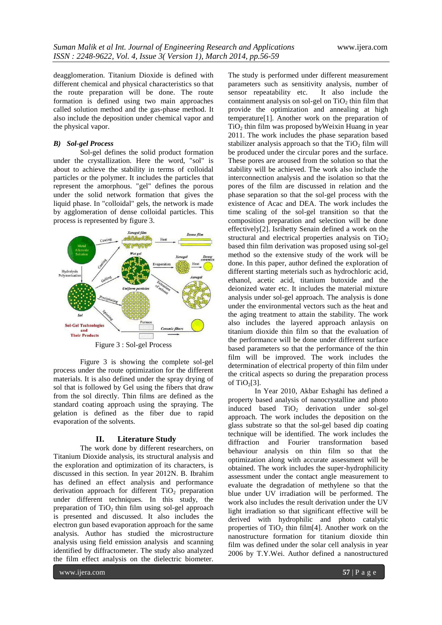deagglomeration. Titanium Dioxide is defined with different chemical and physical characteristics so that the route preparation will be done. The route formation is defined using two main approaches called solution method and the gas-phase method. It also include the deposition under chemical vapor and the physical vapor.

# *B) Sol-gel Process*

Sol-gel defines the solid product formation under the crystallization. Here the word, "sol" is about to achieve the stability in terms of colloidal particles or the polymer. It includes the particles that represent the amorphous. "gel" defines the porous under the solid network formation that gives the liquid phase. In "colloidal" gels, the network is made by agglomeration of dense colloidal particles. This process is represented by figure 3.



Figure 3 : Sol-gel Process

Figure 3 is showing the complete sol-gel process under the route optimization for the different materials. It is also defined under the spray drying of sol that is followed by Gel using the fibers that draw from the sol directly. Thin films are defined as the standard coating approach using the spraying. The gelation is defined as the fiber due to rapid evaporation of the solvents.

#### **II. Literature Study**

The work done by different researchers, on Titanium Dioxide analysis, its structural analysis and the exploration and optimization of its characters, is discussed in this section. In year 2012N. B. Ibrahim has defined an effect analysis and performance derivation approach for different  $TiO<sub>2</sub>$  preparation under different techniques. In this study, the preparation of  $TiO<sub>2</sub>$  thin film using sol-gel approach is presented and discussed. It also includes the electron gun based evaporation approach for the same analysis. Author has studied the microstructure analysis using field emission analysis and scanning identified by diffractometer. The study also analyzed the film effect analysis on the dielectric biometer.

The study is performed under different measurement parameters such as sensitivity analysis, number of sensor repeatability etc. It also include the containment analysis on sol-gel on  $TiO<sub>2</sub>$  thin film that provide the optimization and annealing at high temperature[1]. Another work on the preparation of  $TiO<sub>2</sub>$  thin film was proposed by Weixin Huang in year 2011. The work includes the phase separation based stabilizer analysis approach so that the  $TiO<sub>2</sub>$  film will be produced under the circular pores and the surface. These pores are aroused from the solution so that the stability will be achieved. The work also include the interconnection analysis and the isolation so that the pores of the film are discussed in relation and the phase separation so that the sol-gel process with the existence of Acac and DEA. The work includes the time scaling of the sol-gel transition so that the composition preparation and selection will be done effectively[2]. Isrihetty Senain defined a work on the structural and electrical properties analysis on  $TiO<sub>2</sub>$ based thin film derivation was proposed using sol-gel method so the extensive study of the work will be done. In this paper, author defined the exploration of different starting meterials such as hydrochloric acid, ethanol, acetic acid, titanium butoxide and the deionized water etc. It includes the material mixture analysis under sol-gel approach. The analysis is done under the environmental vectors such as the heat and the aging treatment to attain the stability. The work also includes the layered approach anlaysis on titanium dioxide thin film so that the evaluation of the performance will be done under different surface based parameters so that the performance of the thin film will be improved. The work includes the determination of electrical property of thin film under the critical aspects so during the preparation process of  $TiO<sub>2</sub>[3]$ .

In Year 2010, Akbar Eshaghi has defined a property based analysis of nanocrystalline and photo induced based  $TiO<sub>2</sub>$  derivation under sol-gel approach. The work includes the deposition on the glass substrate so that the sol-gel based dip coating technique will be identified. The work includes the diffraction and Fourier transformation based behaviour analysis on thin film so that the optimization along with accurate assessment will be obtained. The work includes the super-hydrophilicity assessment under the contact angle measurement to evaluate the degradation of methylene so that the blue under UV irradiation will be performed. The work also includes the result derivation under the UV light irradiation so that significant effective will be derived with hydrophilic and photo catalytic properties of  $TiO<sub>2</sub>$  thin film[4]. Another work on the nanostructure formation for titanium dioxide thin film was defined under the solar cell analysis in year 2006 by T.Y.Wei. Author defined a nanostructured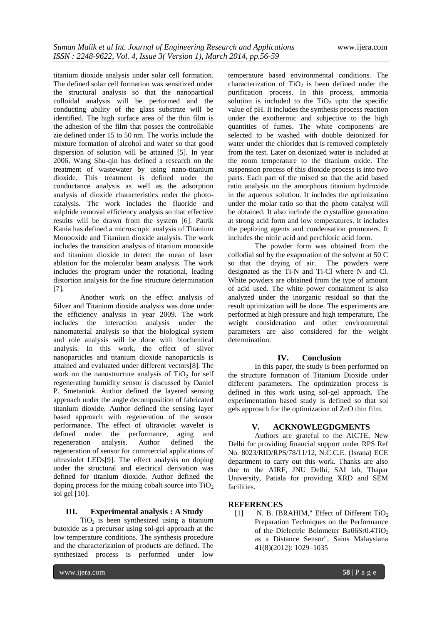titanium dioxide analysis under solar cell formation. The defined solar cell formation was sensitized under the structural analysis so that the nanopartical colloidal analysis will be performed and the conducting ability of the glass substrate will be identified. The high surface area of the thin film is the adhesion of the film that posses the controllable zie defined under 15 to 50 nm. The works include the mixture formation of alcohol and water so that good dispersion of solution will be attained [5]. In year 2006, Wang Shu-qin has defined a research on the treatment of wastewater by using nano-titanium dioxide. This treatment is defined under the conductance analysis as well as the adsorption analysis of dioxide characteristics under the photocatalysis. The work includes the fluoride and sulphide removal efficiency analysis so that effective results will be drawn from the system [6]. Patrik Kania has defined a microscopic analysis of Titanium Monooxide and Titanium dioxide analysis. The work includes the transition analysis of titanium monoxide and titanium dioxide to detect the mean of laser ablation for the molecular beam analysis. The work includes the program under the rotational, leading distortion analysis for the fine structure determination [7].

Another work on the effect analysis of Silver and Titanium dioxide analysis was done under the efficiency analysis in year 2009. The work includes the interaction analysis under the nanomaterial analysis so that the biological system and role analysis will be done with biochemical analysis. In this work, the effect of silver nanoparticles and titanium dioxide nanoparticals is attained and evaluated under different vectors[8]. The work on the nanostructure analysis of  $TiO<sub>2</sub>$  for self regenerating humidity sensor is discussed by Daniel P. Smetaniuk. Author defined the layered sensing approach under the angle decomposition of fabricated titanium dioxide. Author defined the sensing layer based approach with regeneration of the sensor performance. The effect of ultraviolet wavelet is defined under the performance, aging and regeneration analysis. Author defined the regeneration of sensor for commercial applications of ultraviolet LEDs[9]. The effect analysis on doping under the structural and electrical derivation was defined for titanium dioxide. Author defined the doping process for the mixing cobalt source into  $TiO<sub>2</sub>$ sol gel [10].

# **III. Experimental analysis : A Study**

 $TiO<sub>2</sub>$  is been synthesized using a titanium butoxide as a precursor using sol-gel approach at the low temperature conditions. The synthesis procedure and the characterization of products are defined. The synthesized process is performed under low

temperature based environmental conditions. The characterization of  $TiO<sub>2</sub>$  is been defined under the purification process. In this process, ammonia solution is included to the  $TiO<sub>2</sub>$  upto the specific value of pH. It includes the synthesis process reaction under the exothermic and subjective to the high quantities of fumes. The white components are selected to be washed with double deionized for water under the chlorides that is removed completely from the test. Later on deionized water is included at the room temperature to the titanium oxide. The suspension process of this dioxide process is into two parts. Each part of the mixed so that the acid based ratio analysis on the amorphous titanium hydroxide in the aqueous solution. It includes the optimization under the molar ratio so that the photo catalyst will be obtained. It also include the crystalline generation at strong acid form and low temperatures. It includes the peptizing agents and condensation promoters. It includes the nitric acid and perchloric acid form.

The powder form was obtained from the collodial sol by the evaporation of the solvent at 50 C so that the drying of air. The powders were designated as the Ti-N and Ti-Cl where N and Cl. White powders are obtained from the type of amount of acid used. The white power containment is also analyzed under the inorganic residual so that the result optimization will be done. The experiments are performed at high pressure and high temperature, The weight consideration and other environmental parameters are also considered for the weight determination.

#### **IV. Conclusion**

In this paper, the study is been performed on the structure formation of Titanium Dioxide under different parameters. The optimization process is defined in this work using sol-gel approach. The experimentation based study is defined so that sol gels approach for the optimization of ZnO thin film.

### **V. ACKNOWLEGDGMENTS**

Authors are grateful to the AICTE, New Delhi for providing financial support under RPS Ref No. 8023/RID/RPS/78/11/12, N.C.C.E. (Israna) ECE department to carry out this work. Thanks are also due to the AIRF, JNU Delhi, SAI lab, Thapar University, Patiala for providing XRD and SEM facilities.

# **REFERENCES**

[1] N. B. IBRAHIM," Effect of Different TiO<sub>2</sub> Preparation Techniques on the Performance of the Dielectric Bolometer Ba06Sr0.4TiO<sub>3</sub> as a Distance Sensor", Sains Malaysiana 41(8)(2012): 1029–1035